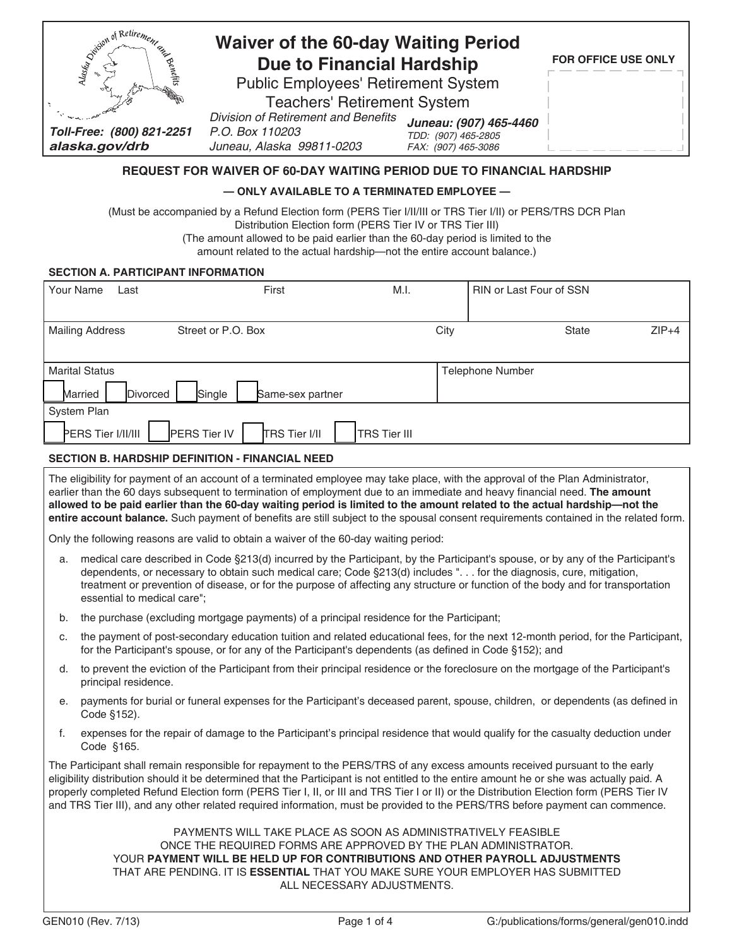| <b>Quition</b><br>$\sim$                    | <b>Waiver of the 60-day Waiting Period</b><br><b>Due to Financial Hardship</b>      | <b>FOR OFFICE USE ONLY</b>                                           |  |
|---------------------------------------------|-------------------------------------------------------------------------------------|----------------------------------------------------------------------|--|
|                                             | <b>Public Employees' Retirement System</b>                                          |                                                                      |  |
|                                             | <b>Teachers' Retirement System</b>                                                  |                                                                      |  |
| Toll-Free: (800) 821-2251<br>alaska.gov/drb | Division of Retirement and Benefits<br>P.O. Box 110203<br>Juneau, Alaska 99811-0203 | Juneau: (907) 465-4460<br>TDD: (907) 465-2805<br>FAX: (907) 465-3086 |  |

# **REQUEST FOR WAIVER OF 60-DAY WAITING PERIOD DUE TO FINANCIAL HARDSHIP**

## **— ONLY AVAILABLE TO A TERMINATED EMPLOYEE —**

(Must be accompanied by a Refund Election form (PERS Tier I/II/III or TRS Tier I/II) or PERS/TRS DCR Plan Distribution Election form (PERS Tier IV or TRS Tier III)

(The amount allowed to be paid earlier than the 60-day period is limited to the

amount related to the actual hardship—not the entire account balance.)

#### **SECTION A. PARTICIPANT INFORMATION**

| Your Name<br>Last      | First                                | M.I.                |      | RIN or Last Four of SSN |         |
|------------------------|--------------------------------------|---------------------|------|-------------------------|---------|
|                        |                                      |                     |      |                         |         |
| <b>Mailing Address</b> | Street or P.O. Box                   |                     | City | <b>State</b>            | $ZIP+4$ |
|                        |                                      |                     |      |                         |         |
| <b>Marital Status</b>  |                                      |                     |      | <b>Telephone Number</b> |         |
| Married<br>Divorced    | Single<br>Same-sex partner           |                     |      |                         |         |
| System Plan            |                                      |                     |      |                         |         |
| PERS Tier I/II/III     | PERS Tier IV<br><b>TRS Tier I/II</b> | <b>TRS Tier III</b> |      |                         |         |

#### **SECTION B. HARDSHIP DEFINITION - FINANCIAL NEED**

The eligibility for payment of an account of a terminated employee may take place, with the approval of the Plan Administrator, earlier than the 60 days subsequent to termination of employment due to an immediate and heavy financial need. **The amount allowed to be paid earlier than the 60-day waiting period is limited to the amount related to the actual hardship—not the entire account balance.** Such payment of benefits are still subject to the spousal consent requirements contained in the related form.

Only the following reasons are valid to obtain a waiver of the 60-day waiting period:

- a. medical care described in Code §213(d) incurred by the Participant, by the Participant's spouse, or by any of the Participant's dependents, or necessary to obtain such medical care; Code §213(d) includes ". . . for the diagnosis, cure, mitigation, treatment or prevention of disease, or for the purpose of affecting any structure or function of the body and for transportation essential to medical care";
- b. the purchase (excluding mortgage payments) of a principal residence for the Participant;
- c. the payment of post-secondary education tuition and related educational fees, for the next 12-month period, for the Participant, for the Participant's spouse, or for any of the Participant's dependents (as defined in Code §152); and
- d. to prevent the eviction of the Participant from their principal residence or the foreclosure on the mortgage of the Participant's principal residence.
- e. payments for burial or funeral expenses for the Participant's deceased parent, spouse, children, or dependents (as defined in Code §152).
- f. expenses for the repair of damage to the Participant's principal residence that would qualify for the casualty deduction under Code §165.

The Participant shall remain responsible for repayment to the PERS/TRS of any excess amounts received pursuant to the early eligibility distribution should it be determined that the Participant is not entitled to the entire amount he or she was actually paid. A properly completed Refund Election form (PERS Tier I, II, or III and TRS Tier I or II) or the Distribution Election form (PERS Tier IV and TRS Tier III), and any other related required information, must be provided to the PERS/TRS before payment can commence.

> PAYMENTS WILL TAKE PLACE AS SOON AS ADMINISTRATIVELY FEASIBLE ONCE THE REQUIRED FORMS ARE APPROVED BY THE PLAN ADMINISTRATOR. YOUR **PAYMENT WILL BE HELD UP FOR CONTRIBUTIONS AND OTHER PAYROLL ADJUSTMENTS** THAT ARE PENDING. IT IS **ESSENTIAL** THAT YOU MAKE SURE YOUR EMPLOYER HAS SUBMITTED ALL NECESSARY ADJUSTMENTS.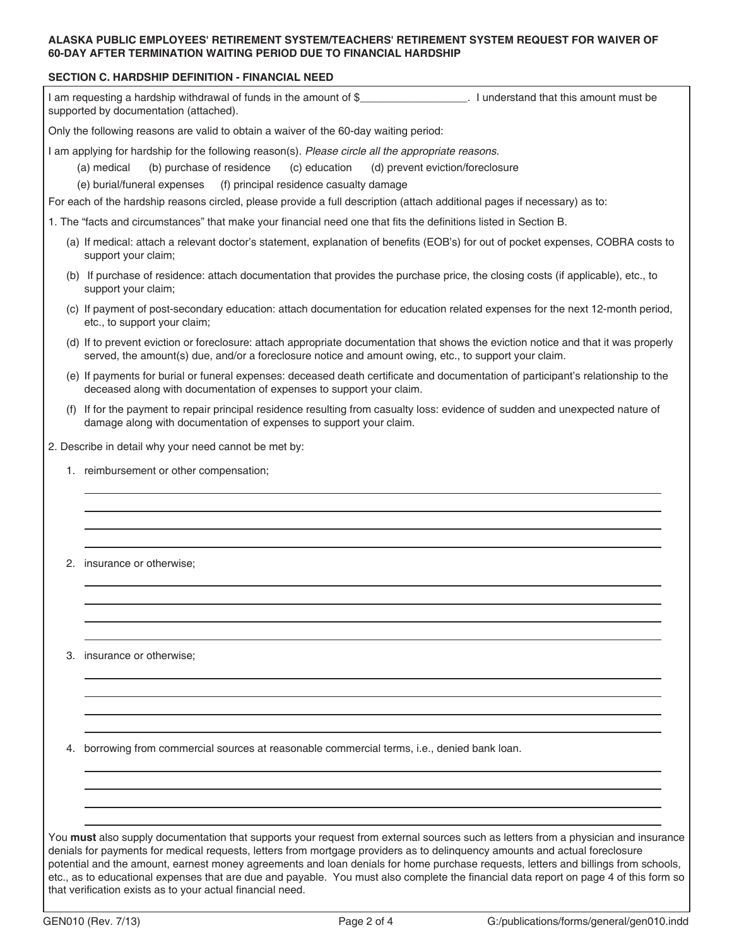## **ALASKA PUBLIC EMPLOYEES' RETIREMENT SYSTEM/TEACHERS' RETIREMENT SYSTEM REQUEST FOR WAIVER OF 60-DAY AFTER TERMINATION WAITING PERIOD DUE TO FINANCIAL HARDSHIP**

## **SECTION C. HARDSHIP DEFINITION - FINANCIAL NEED**

I am requesting a hardship withdrawal of funds in the amount of \$\_\_\_\_\_\_\_\_\_\_\_\_\_\_\_\_\_\_\_\_. I understand that this amount must be supported by documentation (attached).

Only the following reasons are valid to obtain a waiver of the 60-day waiting period:

I am applying for hardship for the following reason(s). *Please circle all the appropriate reasons.*

- (a) medical (b) purchase of residence (c) education (d) prevent eviction/foreclosure
- (e) burial/funeral expenses (f) principal residence casualty damage

For each of the hardship reasons circled, please provide a full description (attach additional pages if necessary) as to:

1. The "facts and circumstances" that make your financial need one that fits the definitions listed in Section B.

- (a) If medical: attach a relevant doctor's statement, explanation of benefits (EOB's) for out of pocket expenses, COBRA costs to support your claim;
- (b) If purchase of residence: attach documentation that provides the purchase price, the closing costs (if applicable), etc., to support your claim;
- (c) If payment of post-secondary education: attach documentation for education related expenses for the next 12-month period, etc., to support your claim;
- (d) If to prevent eviction or foreclosure: attach appropriate documentation that shows the eviction notice and that it was properly served, the amount(s) due, and/or a foreclosure notice and amount owing, etc., to support your claim.
- (e) If payments for burial or funeral expenses: deceased death certificate and documentation of participant's relationship to the deceased along with documentation of expenses to support your claim.
- (f) If for the payment to repair principal residence resulting from casualty loss: evidence of sudden and unexpected nature of damage along with documentation of expenses to support your claim.

2. Describe in detail why your need cannot be met by:

- 1. reimbursement or other compensation;
- 2. insurance or otherwise;

3. insurance or otherwise;

4. borrowing from commercial sources at reasonable commercial terms, i.e., denied bank loan.

You **must** also supply documentation that supports your request from external sources such as letters from a physician and insurance denials for payments for medical requests, letters from mortgage providers as to delinquency amounts and actual foreclosure potential and the amount, earnest money agreements and loan denials for home purchase requests, letters and billings from schools, etc., as to educational expenses that are due and payable. You must also complete the financial data report on page 4 of this form so that verification exists as to your actual financial need.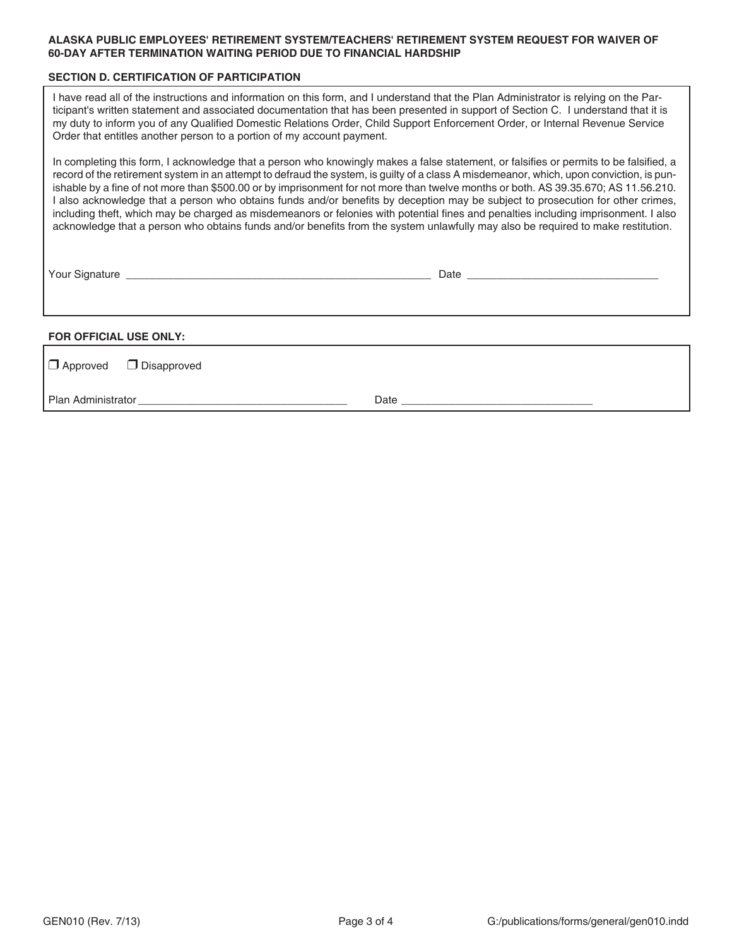### **ALASKA PUBLIC EMPLOYEES' RETIREMENT SYSTEM/TEACHERS' RETIREMENT SYSTEM REQUEST FOR WAIVER OF 60-DAY AFTER TERMINATION WAITING PERIOD DUE TO FINANCIAL HARDSHIP**

#### **SECTION D. CERTIFICATION OF PARTICIPATION**

I have read all of the instructions and information on this form, and I understand that the Plan Administrator is relying on the Participant's written statement and associated documentation that has been presented in support of Section C. I understand that it is my duty to inform you of any Qualified Domestic Relations Order, Child Support Enforcement Order, or Internal Revenue Service Order that entitles another person to a portion of my account payment.

In completing this form, I acknowledge that a person who knowingly makes a false statement, or falsifies or permits to be falsified, a record of the retirement system in an attempt to defraud the system, is guilty of a class A misdemeanor, which, upon conviction, is punishable by a fine of not more than \$500.00 or by imprisonment for not more than twelve months or both. AS 39.35.670; AS 11.56.210. I also acknowledge that a person who obtains funds and/or benefits by deception may be subject to prosecution for other crimes, including theft, which may be charged as misdemeanors or felonies with potential fines and penalties including imprisonment. I also acknowledge that a person who obtains funds and/or benefits from the system unlawfully may also be required to make restitution.

Your Signature \_\_\_\_\_\_\_\_\_\_\_\_\_\_\_\_\_\_\_\_\_\_\_\_\_\_\_\_\_\_\_\_\_\_\_\_\_\_\_\_\_\_\_\_\_\_\_\_\_\_\_ Date \_\_\_\_\_\_\_\_\_\_\_\_\_\_\_\_\_\_\_\_\_\_\_\_\_\_\_\_\_\_\_\_

## **FOR OFFICIAL USE ONLY:**

| $\Box$ Approved $\Box$ Disapproved |      |
|------------------------------------|------|
| Plan Administrator                 | Date |